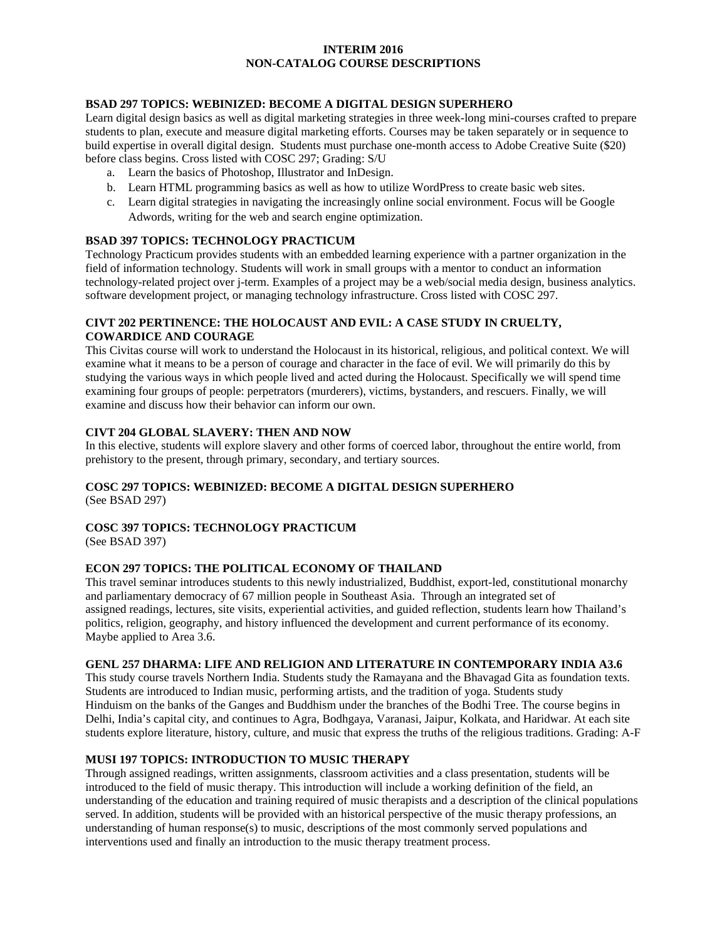## **INTERIM 2016 NON-CATALOG COURSE DESCRIPTIONS**

## **BSAD 297 TOPICS: WEBINIZED: BECOME A DIGITAL DESIGN SUPERHERO**

Learn digital design basics as well as digital marketing strategies in three week-long mini-courses crafted to prepare students to plan, execute and measure digital marketing efforts. Courses may be taken separately or in sequence to build expertise in overall digital design. Students must purchase one-month access to Adobe Creative Suite (\$20) before class begins. Cross listed with COSC 297; Grading: S/U

- a. Learn the basics of Photoshop, Illustrator and InDesign.
- b. Learn HTML programming basics as well as how to utilize WordPress to create basic web sites.
- c. Learn digital strategies in navigating the increasingly online social environment. Focus will be Google Adwords, writing for the web and search engine optimization.

## **BSAD 397 TOPICS: TECHNOLOGY PRACTICUM**

Technology Practicum provides students with an embedded learning experience with a partner organization in the field of information technology. Students will work in small groups with a mentor to conduct an information technology-related project over j-term. Examples of a project may be a web/social media design, business analytics. software development project, or managing technology infrastructure. Cross listed with COSC 297.

## **CIVT 202 PERTINENCE: THE HOLOCAUST AND EVIL: A CASE STUDY IN CRUELTY, COWARDICE AND COURAGE**

This Civitas course will work to understand the Holocaust in its historical, religious, and political context. We will examine what it means to be a person of courage and character in the face of evil. We will primarily do this by studying the various ways in which people lived and acted during the Holocaust. Specifically we will spend time examining four groups of people: perpetrators (murderers), victims, bystanders, and rescuers. Finally, we will examine and discuss how their behavior can inform our own.

## **CIVT 204 GLOBAL SLAVERY: THEN AND NOW**

In this elective, students will explore slavery and other forms of coerced labor, throughout the entire world, from prehistory to the present, through primary, secondary, and tertiary sources.

# **COSC 297 TOPICS: WEBINIZED: BECOME A DIGITAL DESIGN SUPERHERO**

(See BSAD 297)

# **COSC 397 TOPICS: TECHNOLOGY PRACTICUM**

(See BSAD 397)

# **ECON 297 TOPICS: THE POLITICAL ECONOMY OF THAILAND**

This travel seminar introduces students to this newly industrialized, Buddhist, export-led, constitutional monarchy and parliamentary democracy of 67 million people in Southeast Asia. Through an integrated set of assigned readings, lectures, site visits, experiential activities, and guided reflection, students learn how Thailand's politics, religion, geography, and history influenced the development and current performance of its economy. Maybe applied to Area 3.6.

### **GENL 257 DHARMA: LIFE AND RELIGION AND LITERATURE IN CONTEMPORARY INDIA A3.6**

This study course travels Northern India. Students study the Ramayana and the Bhavagad Gita as foundation texts. Students are introduced to Indian music, performing artists, and the tradition of yoga. Students study Hinduism on the banks of the Ganges and Buddhism under the branches of the Bodhi Tree. The course begins in Delhi, India's capital city, and continues to Agra, Bodhgaya, Varanasi, Jaipur, Kolkata, and Haridwar. At each site students explore literature, history, culture, and music that express the truths of the religious traditions. Grading: A-F

### **MUSI 197 TOPICS: INTRODUCTION TO MUSIC THERAPY**

Through assigned readings, written assignments, classroom activities and a class presentation, students will be introduced to the field of music therapy. This introduction will include a working definition of the field, an understanding of the education and training required of music therapists and a description of the clinical populations served. In addition, students will be provided with an historical perspective of the music therapy professions, an understanding of human response(s) to music, descriptions of the most commonly served populations and interventions used and finally an introduction to the music therapy treatment process.